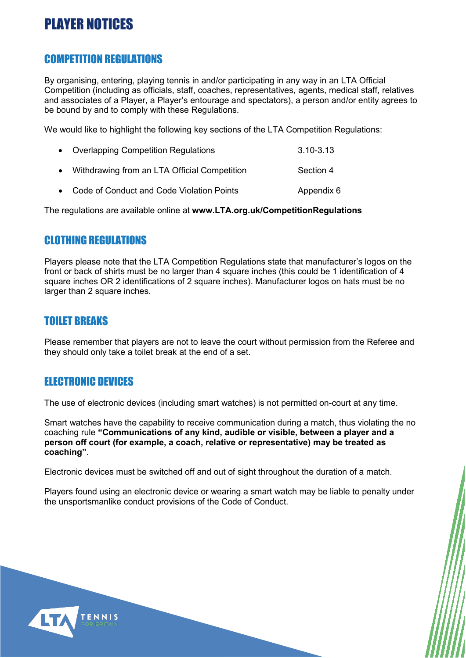## PLAYER NOTICES

#### COMPETITION REGULATIONS

By organising, entering, playing tennis in and/or participating in any way in an LTA Official Competition (including as officials, staff, coaches, representatives, agents, medical staff, relatives and associates of a Player, a Player's entourage and spectators), a person and/or entity agrees to be bound by and to comply with these Regulations.

We would like to highlight the following key sections of the LTA Competition Regulations:

| • Overlapping Competition Regulations        | 3.10-3.13 |
|----------------------------------------------|-----------|
| Withdrawing from an LTA Official Competition | Section 4 |

• Code of Conduct and Code Violation Points **Appendix 6** 

The regulations are available online at **[www.LTA.org.uk/CompetitionRegulations](http://www.lta.org.uk/competitionregulations)**

#### CLOTHING REGULATIONS

Players please note that the LTA Competition Regulations state that manufacturer's logos on the front or back of shirts must be no larger than 4 square inches (this could be 1 identification of 4 square inches OR 2 identifications of 2 square inches). Manufacturer logos on hats must be no larger than 2 square inches.

#### TOILET BREAKS

Please remember that players are not to leave the court without permission from the Referee and they should only take a toilet break at the end of a set.

#### ELECTRONIC DEVICES

The use of electronic devices (including smart watches) is not permitted on-court at any time.

Smart watches have the capability to receive communication during a match, thus violating the no coaching rule **"Communications of any kind, audible or visible, between a player and a person off court (for example, a coach, relative or representative) may be treated as coaching"**.

Electronic devices must be switched off and out of sight throughout the duration of a match.

Players found using an electronic device or wearing a smart watch may be liable to penalty under the unsportsmanlike conduct provisions of the Code of Conduct.